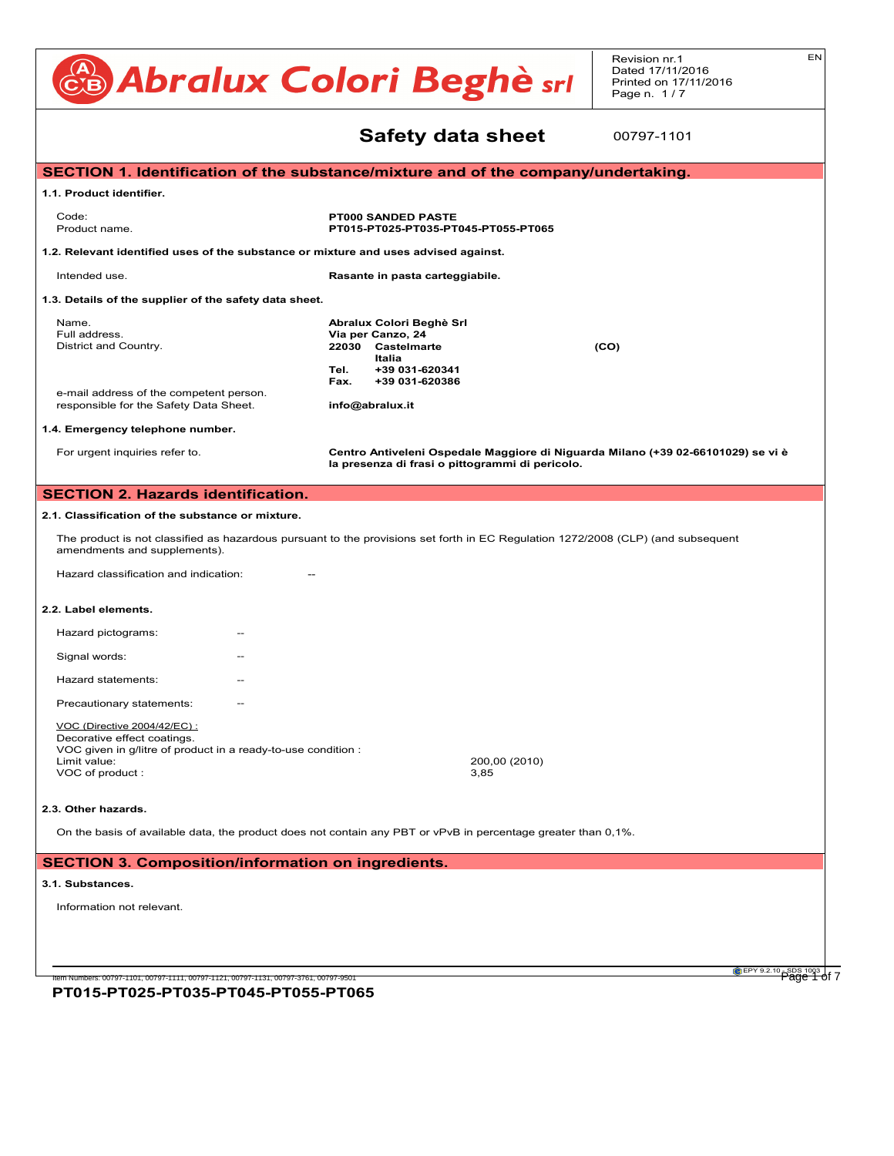#### CB Abralux Colori Beghè sri Revision nr.1 Dated 17/11/2016 Printed on 17/11/2016 Page n. 1/7 EN **Safety data sheet** Safety data sheet SECTION 1. Identification of the substance/mixture and of the company/undertaking. 1.1. Product identifier. And the control of the control of the control of the control of the control of the co<br>The control of the control of the control of the control of the control of the control of the control of the c **PT000 SANDED PASTE**<br>**PT000 SANDED PASTE** Product name. **PT015-PT025-PT035-PT045-PT055-PT065** 1.2. Relevant identified uses of the substance or mixture and uses advised against. Intended use. The same of the set of the Rasante in pasta carteggiabile. 1.3. Details of the supplier of the safety data sheet. **Abralux Colori Beghè Srl**<br> **INALATION: Get medical advice victim to fresh air, and the accident scene. If the subject stops are subject stops a** Full address. **Via per Canzo, 24** District and Country. **22030 Castelmarte (CO)**<br> **4.2. Most important symptoms and effects Italia Tel. +39 031-620341** Specific information on symptoms and effects caused by the product are unknown. **15.1. Safety, health and environmental regulations/legislation specific for the substance or mixture. Fax. +39 031-620386** For symptoms and effects caused by the contained substances, see chap. 11. Eax. +39 031<br>e-mail address of the competent person. e-mail address of the competent person.<br>responsible for the Safety Data Sheet. **info@abralux.it** 1.4. Emergency telephone number.<br>**12.1. Toxicity.** For urgent inquiries refer to. **Centro Antiveleni Ospedale Maggiore di Niguarda Milano (+39 02-66101029) se vi è SECTION 3. Composition/information on ingredients.** ... / >> Regulation (EU) 1272/2008 (CLP) (and subsequent amendments and supplements) in such quantities as to require the statement. **SECTION 4. FIRST AID MEASURES. 10.1.** Intended use. **10.1. Proto criteria for the classification** criteria for the class of the class of the class of the classification criteria for the class of the class of the class of the class of the class of the c 1.3. Details of the supplier breathing, and the contract respiration. The contract respiration. The precautions for respirations for respira<br>End oddesse **SECTION 5. Firefighting measures. SECTION 7. Handling and storage.** Ensure that there is an adequate earthing system for the equipment and personnel. Avoid contact with eyes and skin. Do not breathe **7.2. Conditions for safe storage storage storage storage storage storage storage storage storage storage storage** Store only in the original compared and dry place in a venture of ignition. Store in a vertical and dry place i<br>Containers well search the containers were well search well search well search well sealed. Keep containers we . Relevant identified uses of the substance or mixture and uses advised against.<br>Interded use **8.2. Exposure controls.** Comply with the safety measures usually applied when handling chemical substances. **For urgent inquiries refer 9. Physical and chemical properties.** ... / >> Explosive properties Not available. ECTION 1. Identification of the substance/mix **SECTION 10. SECTION 10. SECTION 10. SECTION 10. SECTION 10. SECTION 10. SECTION 10. SECTION 10. SECTION 10. SECTION 10. SECTION 10. SECTION 10. SECTION 10. SECTION 10. SECTION 10. SECTION 10. SECTION 10. SECTION 10. SECTI** ). Details of the supplier of the safety data sheet.  $2$ name.<br>Full address. **10.2. Pull addless.**<br>District and Country. The product is stable in the product is stable in the product is stable in the storage.<br>The product is stable in the storage of use and storage. **11. Toxicological information.** ... / >> Does not meet the classification criteria for this hazard class. <u>CARCINOGENICITY (CARCINOGENICI</u> **ECTION 1. Identification of the substance Product name.**  $1.41$   $1.42$   $1.42$   $1.42$   $1.42$   $1.42$   $1.42$   $1.42$   $1.42$   $1.42$   $1.42$   $1.42$   $1.42$   $1.42$   $1.42$   $1.42$   $1.42$   $1.42$   $1.42$   $1.42$   $1.42$   $1.42$   $1.42$   $1.42$   $1.42$   $1.42$   $1.42$   $1.42$   $1.42$   $1.42$   $1.42$   $1.4$ For urgent inquiries refer to.<br>1. **Centro Antivelenia (CLP)**<br>1. **Regulation Club 14. Transport information.** ... / >> Not applicable. - OEL: Occupational Exposure Level . Emergency telephone number. **16. Other information.** ... / >> ECTION 1. Identification of the substance/mixtu . Product identifier. - Reaching 1907/2006 1907/2007/2007 . Details of the supplier of the safety data sheet.  $\,$ 1. Regulation (EU) 1907/2007/2007/2007/2007/2006 (Reach) of the European Parliament Parliament Parliament Parli 2. Regulation (EC) 1272/2008 (CLP) of the European Parliament Parliament Parliament Parliament Parliament Par e-mail address of the competent person. 00797-1101

#### **SECTION 2. Hazards identification.** ECTION 2. Hazards identification. Carbon dioxide, foam, powder and water spray. None required. SECTION 2. Hazards identification.  $E C T I O N 2 H a z are$ <u>- Chion Z. Hazarus Identification.</u>

#### 2.1. Classification of the substance or mixture. . Classification of Cleasification . Classification of the substan .<br>Information of the substance or mixture.

The product is not classified as hazardous pursuant to the provisions set forth in EC Regulation 1272/2008 (CLP) (and subsequent<br> **EXECUTE:** Special europements) amendments and supplements). The aredust is not eleccified as betardeus aureusat to the arguinists pat forth in EC Dequisition 1979/9008 (CLD) (and subsequent The product is not class filter as nazardous pursuant to the provisions set forth in EU Regulation. (272/2006 (ULP) (and subsequent<br>monomonic and cupeloments). 2-METHYLPENTANE-2,4-DIOL The product is not classified as hazardous pursuant

Hazard classification and indication: The technical measures adopted are not restriction and indication exposure to the worker's exposure to the worker's exposure to the worker's exposure to the worker's exposure to the wo  $t$  razard classification and indication.  $\frac{t}{t}$ **Hazard classification and indication:** 

#### **12.2. Label elements.**  $\epsilon$  open-circuit compressed air breathing and  $\epsilon$  with standard EN  $\epsilon$

None required.

| 4.4. LADUI UIUIIUIILS. |                                                                                                                                                                  |       |                       |  |  |  |
|------------------------|------------------------------------------------------------------------------------------------------------------------------------------------------------------|-------|-----------------------|--|--|--|
|                        | Hazard pictograms:                                                                                                                                               | $-$   |                       |  |  |  |
|                        | Signal words:                                                                                                                                                    | $- -$ |                       |  |  |  |
|                        | Hazard statements:                                                                                                                                               | $- -$ |                       |  |  |  |
|                        | Precautionary statements:                                                                                                                                        | $- -$ |                       |  |  |  |
|                        | VOC (Directive 2004/42/EC) :<br>Decorative effect coatings.<br>VOC given in g/litre of product in a ready-to-use condition :<br>Limit value:<br>VOC of product : |       | 200,00 (2010)<br>3,85 |  |  |  |

la presenza di frasi o pittogrammi di pericolo.

#### 2.3. Other hazards.  $\sum_{i=1}^n$  definitions.  $\mathbf a$ . Other hazards. European Agreement concerning the carrier of  $\mathbf a$

procedures.

On the basis of available data, the product does not contain any PBT or vPvB in percentage greater than 0,1%.

#### **SECTION 3. Composition/information on ingredients.**<br>Collect the leaked product into a suitable container. If the product is flammable, use explosion-product is fl  $\epsilon$ chion  $s$ . Composition/information on ingredients.  $\overline{D}$ UALA Association limit. Not available to available.  $\epsilon$ CTION 3. Composition/information on ingred - CHON 2. Composition information on in ECTION 3. Compositio

Initial boiling point. Not applicable.

#### **3.1. Substances.**<br> **SERIOUS EXECUTIVE LIMIT.** Not available.  $\mathcal{L}_{\text{substack}}$ values in the set of available. Not available to the set of available to the set of available. Note that the set of available to the set of available. The set of available to the set of available to the set of available. T **14.2. Substances.** - Guidelling Harmonized System of classification and labeling of chemicals of chemicals of chemicals of chemicals of chemicals of chemicals of chemicals of chemicals of chemicals of chemicals of chemicals of chemicals of c

Information not relevant. Any information on personal protection and disposal is given in sections 8 and 13. Relative density. INFORMATION NOT TOIS VALUE.

**PT015-PT025-PT035-PT045-PT055-PT065** .<br>Item Numbers: 00797-1101, 00797-1111, 00797-1121, 00797-1131, 00797-3761, 00797-9501

**CEPY 9.2.10** SDS 1003 of 7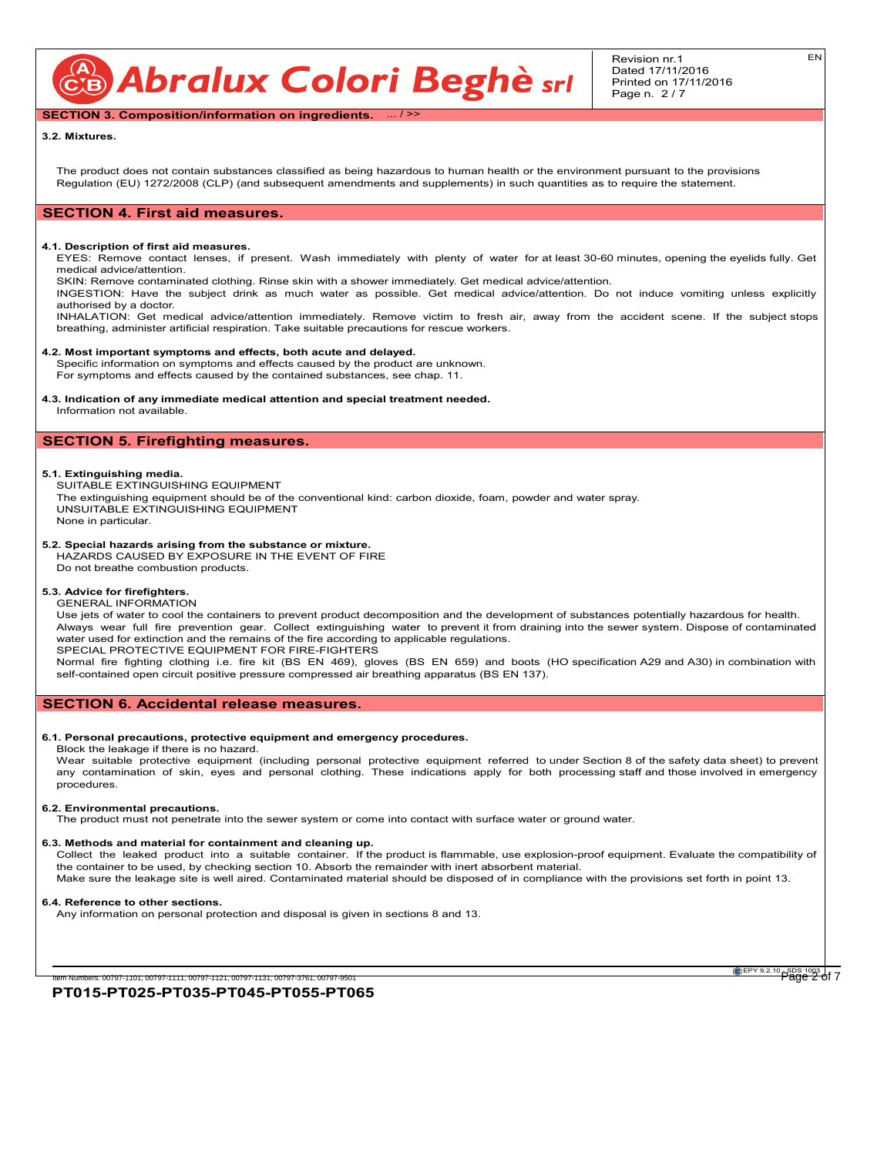CB Abralux Colori Beghè srl

Revision nr.1 Dated 17/11/2016 Printed on 17/11/2016 Page n. 2 / 7

**SECTION 3. Composition/information on ingredients.** ... / >>

#### **3.2. Mixtures.**

The product does not contain substances classified as being hazardous to human health or the environment pursuant to the provisions Regulation (EU) 1272/2008 (CLP) (and subsequent amendments and supplements) in such quantities as to require the statement.

#### **SECTION 4. First aid measures.**

#### **4.1. Description of first aid measures.**

EYES: Remove contact lenses, if present. Wash immediately with plenty of water for at least 30-60 minutes, opening the eyelids fully. Get medical advice/attention.

SKIN: Remove contaminated clothing. Rinse skin with a shower immediately. Get medical advice/attention.

INGESTION: Have the subject drink as much water as possible. Get medical advice/attention. Do not induce vomiting unless explicitly authorised by a doctor.

INHALATION: Get medical advice/attention immediately. Remove victim to fresh air, away from the accident scene. If the subject stops breathing, administer artificial respiration. Take suitable precautions for rescue workers.

#### **4.2. Most important symptoms and effects, both acute and delayed.**

Specific information on symptoms and effects caused by the product are unknown. For symptoms and effects caused by the contained substances, see chap. 11.

#### **4.3. Indication of any immediate medical attention and special treatment needed.** Information not available.

# **SECTION 5. Firefighting measures.**

#### **5.1. Extinguishing media.**

SUITABLE EXTINGUISHING EQUIPMENT The extinguishing equipment should be of the conventional kind: carbon dioxide, foam, powder and water spray. UNSUITABLE EXTINGUISHING EQUIPMENT None in particular.

#### **5.2. Special hazards arising from the substance or mixture.**

HAZARDS CAUSED BY EXPOSURE IN THE EVENT OF FIRE Do not breathe combustion products.

#### **5.3. Advice for firefighters.** GENERAL INFORMATION

Use jets of water to cool the containers to prevent product decomposition and the development of substances potentially hazardous for health. Always wear full fire prevention gear. Collect extinguishing water to prevent it from draining into the sewer system. Dispose of contaminated water used for extinction and the remains of the fire according to applicable regulations. SPECIAL PROTECTIVE EQUIPMENT FOR FIRE-FIGHTERS

Normal fire fighting clothing i.e. fire kit (BS EN 469), gloves (BS EN 659) and boots (HO specification A29 and A30) in combination with self-contained open circuit positive pressure compressed air breathing apparatus (BS EN 137).

#### **SECTION 6. Accidental release measures.**

#### **6.1. Personal precautions, protective equipment and emergency procedures.**

Block the leakage if there is no hazard.

Wear suitable protective equipment (including personal protective equipment referred to under Section 8 of the safety data sheet) to prevent any contamination of skin, eyes and personal clothing. These indications apply for both processing staff and those involved in emergency procedures.

#### **6.2. Environmental precautions.**

The product must not penetrate into the sewer system or come into contact with surface water or ground water.

#### **6.3. Methods and material for containment and cleaning up.**

Collect the leaked product into a suitable container. If the product is flammable, use explosion-proof equipment. Evaluate the compatibility of the container to be used, by checking section 10. Absorb the remainder with inert absorbent material.

Make sure the leakage site is well aired. Contaminated material should be disposed of in compliance with the provisions set forth in point 13.

#### **6.4. Reference to other sections.**

Any information on personal protection and disposal is given in sections 8 and 13.

**PT015-PT025-PT035-PT045-PT055-PT065** m Numbers: 00797-1101, 00797-1111, 00797-1121, 00797-1131, 00797-3761, 00797-951

EPY 9.2.10 SDS 1003 of 7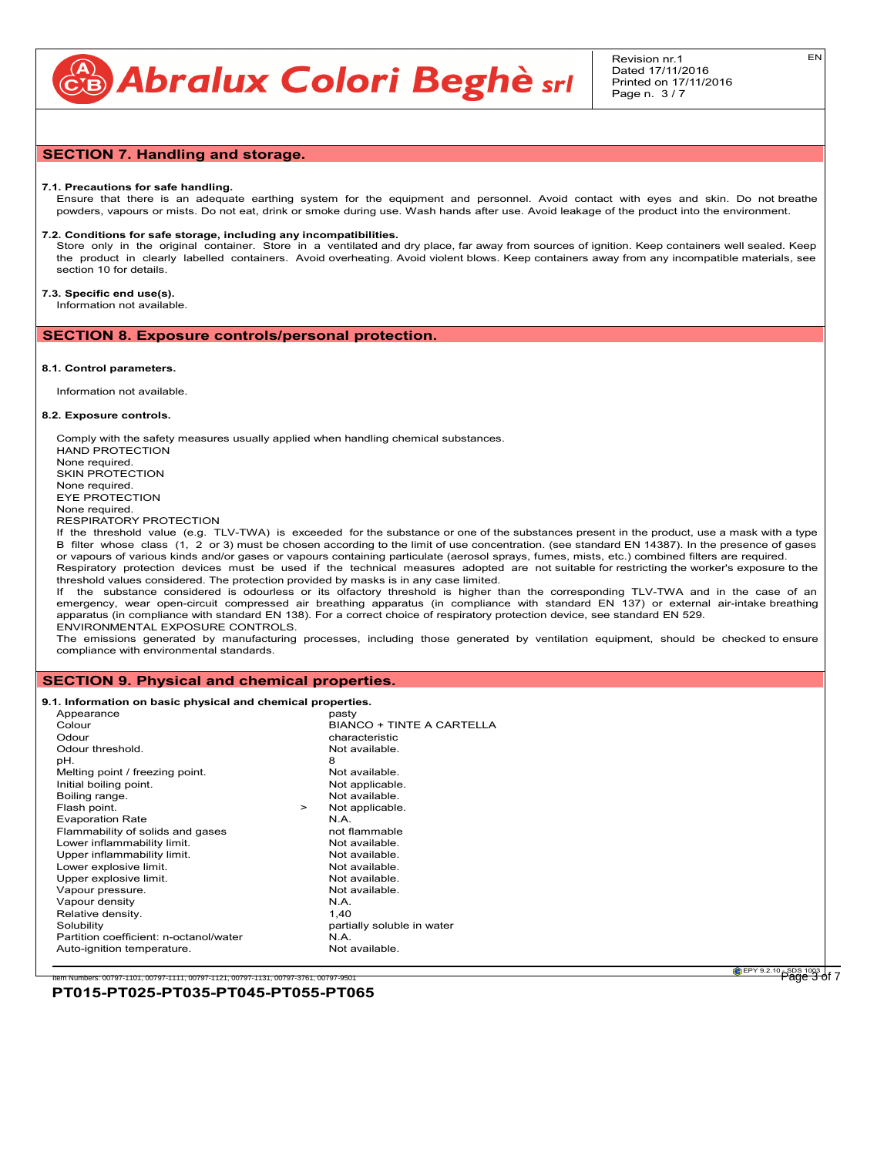CB Abralux Colori Beghè sri

## **SECTION 7. Handling and storage.**

#### **7.1. Precautions for safe handling.**

Ensure that there is an adequate earthing system for the equipment and personnel. Avoid contact with eyes and skin. Do not breathe powders, vapours or mists. Do not eat, drink or smoke during use. Wash hands after use. Avoid leakage of the product into the environment.

#### **7.2. Conditions for safe storage, including any incompatibilities.**

Store only in the original container. Store in a ventilated and dry place, far away from sources of ignition. Keep containers well sealed. Keep the product in clearly labelled containers. Avoid overheating. Avoid violent blows. Keep containers away from any incompatible materials, see section 10 for details.

## **7.3. Specific end use(s).**

Information not available.

**SECTION 8. Exposure controls/personal protection.**

#### **8.1. Control parameters.**

Information not available.

#### **8.2. Exposure controls.**

Comply with the safety measures usually applied when handling chemical substances. HAND PROTECTION None required. SKIN PROTECTION None required. EYE PROTECTION None required. RESPIRATORY PROTECTION

If the threshold value (e.g. TLV-TWA) is exceeded for the substance or one of the substances present in the product, use a mask with a type B filter whose class (1, 2 or 3) must be chosen according to the limit of use concentration. (see standard EN 14387). In the presence of gases or vapours of various kinds and/or gases or vapours containing particulate (aerosol sprays, fumes, mists, etc.) combined filters are required. Respiratory protection devices must be used if the technical measures adopted are not suitable for restricting the worker's exposure to the threshold values considered. The protection provided by masks is in any case limited.

If the substance considered is odourless or its olfactory threshold is higher than the corresponding TLV-TWA and in the case of an emergency, wear open-circuit compressed air breathing apparatus (in compliance with standard EN 137) or external air-intake breathing apparatus (in compliance with standard EN 138). For a correct choice of respiratory protection device, see standard EN 529. ENVIRONMENTAL EXPOSURE CONTROLS.

The emissions generated by manufacturing processes, including those generated by ventilation equipment, should be checked to ensure compliance with environmental standards.

#### **SECTION 9. Physical and chemical properties.**

# **9.1. Information on basic physical and chemical properties.**<br>
Appearance pasty

| Appearance                             |        | pasty                            |
|----------------------------------------|--------|----------------------------------|
| Colour                                 |        | <b>BIANCO + TINTE A CARTELLA</b> |
| Odour                                  |        | characteristic                   |
| Odour threshold.                       |        | Not available.                   |
| pH.                                    |        | 8                                |
| Melting point / freezing point.        |        | Not available.                   |
| Initial boiling point.                 |        | Not applicable.                  |
| Boiling range.                         |        | Not available.                   |
| Flash point.                           | $\geq$ | Not applicable.                  |
| <b>Evaporation Rate</b>                |        | N.A.                             |
| Flammability of solids and gases       |        | not flammable                    |
| Lower inflammability limit.            |        | Not available.                   |
| Upper inflammability limit.            |        | Not available.                   |
| Lower explosive limit.                 |        | Not available.                   |
| Upper explosive limit.                 |        | Not available.                   |
| Vapour pressure.                       |        | Not available.                   |
| Vapour density                         |        | N.A.                             |
| Relative density.                      |        | 1.40                             |
| Solubility                             |        | partially soluble in water       |
| Partition coefficient: n-octanol/water |        | N.A.                             |
| Auto-ignition temperature.             |        | Not available.                   |
|                                        |        |                                  |

**EPY 9.2.10** SDS 1003 of 7

#### **PT015-PT025-PT035-PT045-PT055-PT065** Numbers: 00797-1101, 00797-1111, 00797-1121, 00797-1131, 00797-3761, 00797-95

EN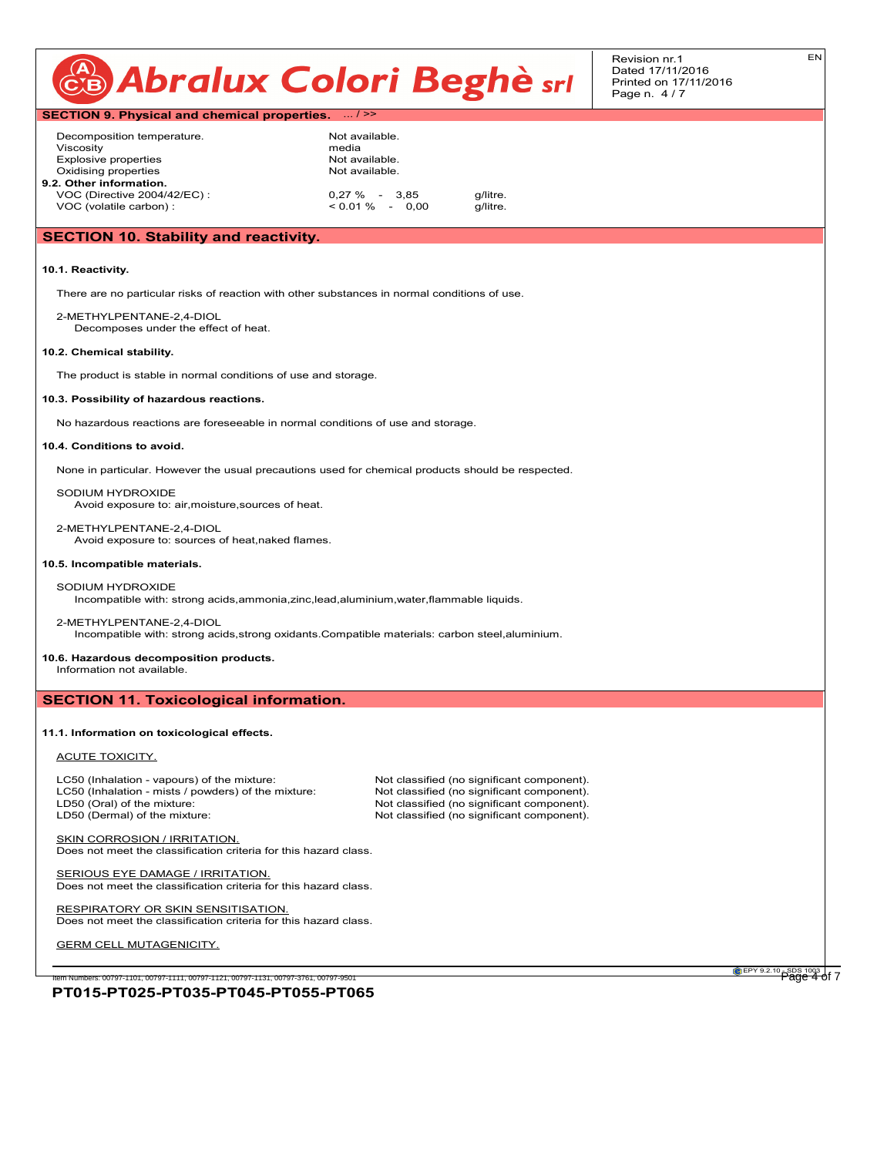| CB Abralux Colori Beghè srl | Revision nr. 1<br>Dated 17/11/2016<br>Printed on 17/11/2016<br>Page n. 4/7 | ΕN |
|-----------------------------|----------------------------------------------------------------------------|----|
|-----------------------------|----------------------------------------------------------------------------|----|

# **SECTION 9. Physical and chemical properties.** ... / >> Decomposition temperature. Not available. Viscosity<br>
Viscosity<br>
Explosive properties<br>
Mot available

Explosive properties Oxidising properties Not available. **9.2. Other information.** VOC (Directive 2004/42/EC) : 0,27 % - 3,85 g/litre.<br>VOC (volatile carbon) : contract of 0.01 % - 0,00 g/litre. VOC (volatile carbon) :

## **SECTION 10. Stability and reactivity.**

#### **10.1. Reactivity.**

There are no particular risks of reaction with other substances in normal conditions of use.

2-METHYLPENTANE-2,4-DIOL Decomposes under the effect of heat.

#### **10.2. Chemical stability.**

The product is stable in normal conditions of use and storage.

#### **10.3. Possibility of hazardous reactions.**

No hazardous reactions are foreseeable in normal conditions of use and storage.

#### **10.4. Conditions to avoid.**

None in particular. However the usual precautions used for chemical products should be respected.

SODIUM HYDROXIDE Avoid exposure to: air,moisture,sources of heat.

2-METHYLPENTANE-2,4-DIOL Avoid exposure to: sources of heat,naked flames.

#### **10.5. Incompatible materials.**

SODIUM HYDROXIDE Incompatible with: strong acids,ammonia,zinc,lead,aluminium,water,flammable liquids.

#### 2-METHYLPENTANE-2,4-DIOL

Incompatible with: strong acids,strong oxidants.Compatible materials: carbon steel,aluminium.

### **10.6. Hazardous decomposition products.**

Information not available.

#### **SECTION 11. Toxicological information.**

#### **11.1. Information on toxicological effects.**

#### ACUTE TOXICITY.

LC50 (Inhalation - vapours) of the mixture: Not classified (no significant component).<br>
LC50 (Inhalation - mists / powders) of the mixture: Not classified (no significant component). LC50 (Inhalation - mists / powders) of the mixture: LD50 (Oral) of the mixture: Notel and Society of the mixture: Not classified (no significant component).<br>Not classified (no significant component).

Not classified (no significant component).

SKIN CORROSION / IRRITATION. Does not meet the classification criteria for this hazard class.

SERIOUS EYE DAMAGE / IRRITATION. Does not meet the classification criteria for this hazard class.

RESPIRATORY OR SKIN SENSITISATION. Does not meet the classification criteria for this hazard class.

GERM CELL MUTAGENICITY.

**PT015-PT025-PT035-PT045-PT055-PT065** .<br>Item Numbers: 00797-1101, 00797-1111, 00797-1121, 00797-1131, 00797-3761, 00797-950

**EPY 9.2.10** SDS 1003 of 7

EN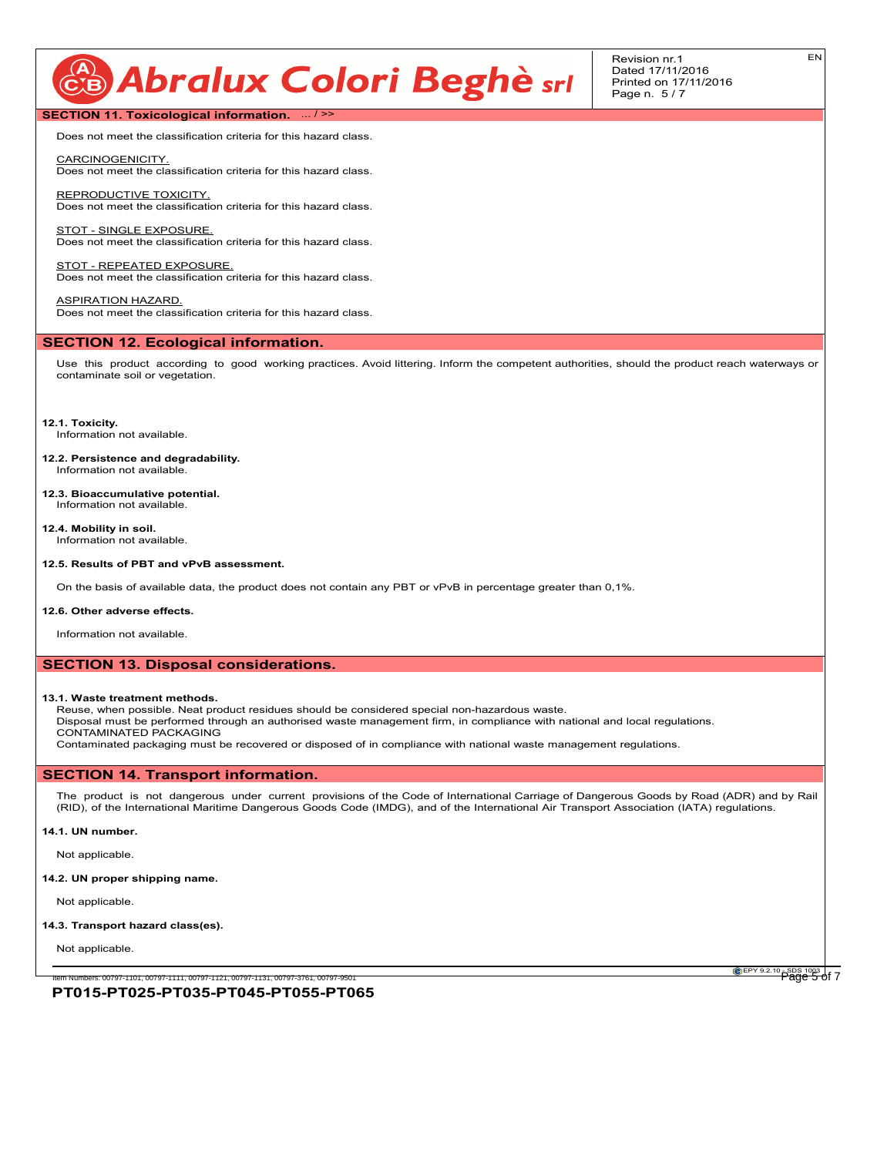# CB Abralux Colori Beghè srl

Revision nr.1 Dated 17/11/2016 Printed on 17/11/2016 Page n. 5 / 7

**SECTION 11. Toxicological information.** ... / >>

Does not meet the classification criteria for this hazard class.

CARCINOGENICITY. Does not meet the classification criteria for this hazard class.

REPRODUCTIVE TOXICITY. Does not meet the classification criteria for this hazard class.

STOT - SINGLE EXPOSURE Does not meet the classification criteria for this hazard class.

STOT - REPEATED EXPOSURE. Does not meet the classification criteria for this hazard class.

ASPIRATION HAZARD. Does not meet the classification criteria for this hazard class.

### **SECTION 12. Ecological information.**

Use this product according to good working practices. Avoid littering. Inform the competent authorities, should the product reach waterways or contaminate soil or vegetation.

**12.1. Toxicity.** Information not available.

**12.2. Persistence and degradability.** Information not available.

**12.3. Bioaccumulative potential.** Information not available.

**12.4. Mobility in soil.** Information not available.

#### **12.5. Results of PBT and vPvB assessment.**

On the basis of available data, the product does not contain any PBT or vPvB in percentage greater than 0,1%.

#### **12.6. Other adverse effects.**

Information not available.

#### **SECTION 13. Disposal considerations.**

#### **13.1. Waste treatment methods.**

Reuse, when possible. Neat product residues should be considered special non-hazardous waste.

Disposal must be performed through an authorised waste management firm, in compliance with national and local regulations. CONTAMINATED PACKAGING

Contaminated packaging must be recovered or disposed of in compliance with national waste management regulations.

## **SECTION 14. Transport information.**

The product is not dangerous under current provisions of the Code of International Carriage of Dangerous Goods by Road (ADR) and by Rail (RID), of the International Maritime Dangerous Goods Code (IMDG), and of the International Air Transport Association (IATA) regulations.

#### **14.1. UN number.**

Not applicable.

**14.2. UN proper shipping name.**

Not applicable.

#### **14.3. Transport hazard class(es).**

Not applicable.

**EPY 9.2.10** SDS 1003 of 7

**PT015-PT025-PT035-PT045-PT055-PT065** Item Numbers: 00797-1101, 00797-1111, 00797-1121, 00797-1131, 00797-3761, 00797-9501 Page 5 of 7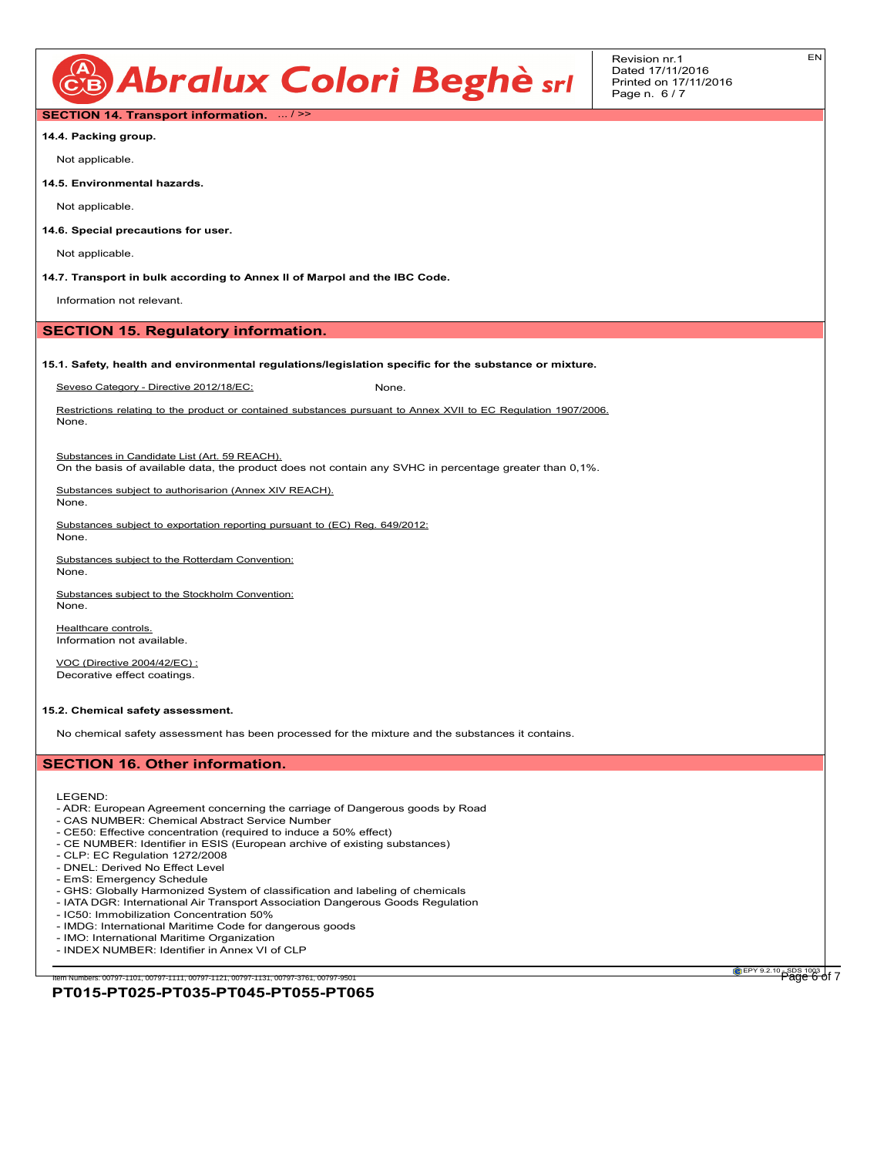

EN

## **SECTION 14. Transport information.** ... / >>

**14.4. Packing group.**

Not applicable.

**14.5. Environmental hazards.**

Not applicable.

**14.6. Special precautions for user.**

Not applicable.

**14.7. Transport in bulk according to Annex II of Marpol and the IBC Code.**

Information not relevant.

### **SECTION 15. Regulatory information.**

#### **15.1. Safety, health and environmental regulations/legislation specific for the substance or mixture.**

Seveso Category - Directive 2012/18/EC: None.

Restrictions relating to the product or contained substances pursuant to Annex XVII to EC Regulation 1907/2006. None.

Substances in Candidate List (Art. 59 REACH).

On the basis of available data, the product does not contain any SVHC in percentage greater than 0,1%.

Substances subject to authorisarion (Annex XIV REACH). None.

Substances subject to exportation reporting pursuant to (EC) Reg. 649/2012:

Substances subject to the Rotterdam Convention: None.

Substances subject to the Stockholm Convention: None.

Healthcare controls. Information not available.

VOC (Directive 2004/42/EC) : Decorative effect coatings.

#### **15.2. Chemical safety assessment.**

No chemical safety assessment has been processed for the mixture and the substances it contains.

## **SECTION 16. Other information.**

LEGEND:

None.

- ADR: European Agreement concerning the carriage of Dangerous goods by Road
- CAS NUMBER: Chemical Abstract Service Number
- CE50: Effective concentration (required to induce a 50% effect) - CE NUMBER: Identifier in ESIS (European archive of existing substances)
- 
- CLP: EC Regulation 1272/2008 - DNEL: Derived No Effect Level
- EmS: Emergency Schedule
- 
- GHS: Globally Harmonized System of classification and labeling of chemicals - IATA DGR: International Air Transport Association Dangerous Goods Regulation
- IC50: Immobilization Concentration 50%
- 
- IMDG: International Maritime Code for dangerous goods
- IMO: International Maritime Organization
- INDEX NUMBER: Identifier in Annex VI of CLP

**PT015-PT025-PT035-PT045-PT055-PT065** em Numbers: 00797-1101, 00797-1111, 00797-1121, 00797-1131, 00797-3761, 00797-951

**EPY 9.2.10** SDS 1003 of 7